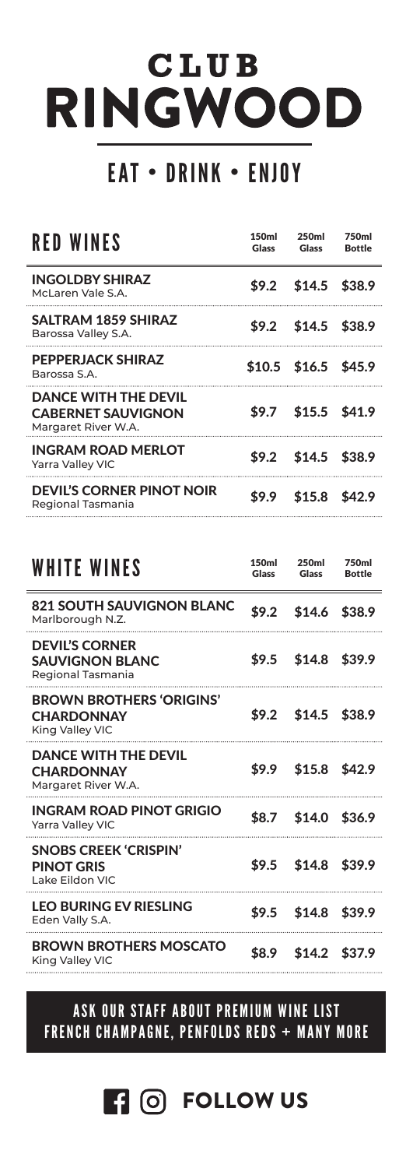# **CLUB** RINGWOOD

## EAT • DRINK • ENJOY

| RED WINES                                                                       | 150 <sub>m</sub><br>Glass | 250 <sub>ml</sub><br>Glass | 750ml<br><b>Bottle</b> |
|---------------------------------------------------------------------------------|---------------------------|----------------------------|------------------------|
| <b>INGOLDBY SHIRAZ</b><br>McLaren Vale S.A.                                     |                           | $$9.2$ \$14.5 \$38.9       |                        |
| SALTRAM 1859 SHIRAZ<br>Barossa Valley S.A.                                      |                           | $$9.2$ \$14.5 \$38.9       |                        |
| PEPPERJACK SHIRAZ<br>Barossa S.A.                                               |                           | $$10.5$ \$16.5 \$45.9      |                        |
| <b>DANCE WITH THE DEVIL</b><br><b>CABERNET SAUVIGNON</b><br>Margaret River W.A. |                           | \$9.7 \$15.5 \$41.9        |                        |
| <b>INGRAM ROAD MERLOT</b><br><b>Yarra Valley VIC</b>                            |                           | $$9.2$ \$14.5 \$38.9       |                        |
| <b>DEVIL'S CORNER PINOT NOIR</b><br>Regional Tasmania                           | \$9.9                     | $$15.8$ \$42.9             |                        |

| <b>WHITE WINES</b>                                                      | 150ml<br>Glass | 250ml<br>Glass      |  |
|-------------------------------------------------------------------------|----------------|---------------------|--|
| <b>821 SOUTH SAUVIGNON BLANC</b><br>Marlborough N.Z.                    | \$9.2          | $$14.6$ \$38.9      |  |
| <b>DEVIL'S CORNER</b><br><b>SAUVIGNON BLANC</b><br>Regional Tasmania    |                | \$9.5 \$14.8 \$39.9 |  |
| <b>BROWN BROTHERS 'ORIGINS'</b><br><b>CHARDONNAY</b><br>King Valley VIC |                | \$9.2 \$14.5 \$38.9 |  |
| <b>DANCE WITH THE DEVIL</b><br><b>CHARDONNAY</b><br>Margaret River W.A. |                | \$9.9 \$15.8 \$42.9 |  |
| INGRAM ROAD PINOT GRIGIO<br><b>Yarra Valley VIC</b>                     |                | \$8.7 \$14.0 \$36.9 |  |
| <b>SNOBS CREEK 'CRISPIN'</b><br><b>PINOT GRIS</b><br>Lake Eildon VIC    |                | \$9.5 \$14.8 \$39.9 |  |
| <b>LFO BURING FV RIFSLING</b><br>Eden Vally S.A.                        |                | \$9.5 \$14.8 \$39.9 |  |
| <b>BROWN BROTHERS MOSCATO</b><br>King Valley VIC                        | \$8.9          | \$14.2 \$37.9       |  |

#### ASK OUR STAFF ABOUT PREMIUM WINE LIST FRENCH CHAMPAGNE, PENFOLDS REDS + MANY MORE

**FOLLOW US**